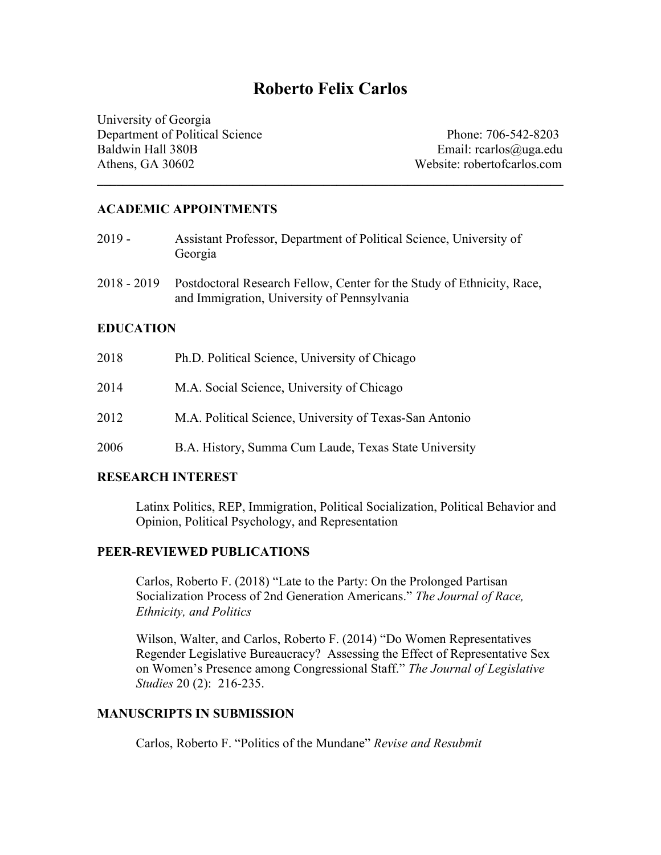# **Roberto Felix Carlos**

 $\mathcal{L}_\mathcal{L} = \mathcal{L}_\mathcal{L} - \mathcal{L}_\mathcal{L}$ 

University of Georgia Department of Political Science Phone: 706-542-8203 Baldwin Hall 380B Email: rcarlos@uga.edu Athens, GA 30602 Website: robertofcarlos.com

#### **ACADEMIC APPOINTMENTS**

| $2019 -$         | Assistant Professor, Department of Political Science, University of<br>Georgia                                        |  |
|------------------|-----------------------------------------------------------------------------------------------------------------------|--|
| $2018 - 2019$    | Postdoctoral Research Fellow, Center for the Study of Ethnicity, Race,<br>and Immigration, University of Pennsylvania |  |
| <b>EDUCATION</b> |                                                                                                                       |  |
| 2018             | Ph.D. Political Science, University of Chicago                                                                        |  |
| 2014             | M.A. Social Science, University of Chicago                                                                            |  |
| 2012             | M.A. Political Science, University of Texas-San Antonio                                                               |  |
| 2006             | B.A. History, Summa Cum Laude, Texas State University                                                                 |  |

#### **RESEARCH INTEREST**

Latinx Politics, REP, Immigration, Political Socialization, Political Behavior and Opinion, Political Psychology, and Representation

#### **PEER-REVIEWED PUBLICATIONS**

Carlos, Roberto F. (2018) "Late to the Party: On the Prolonged Partisan Socialization Process of 2nd Generation Americans." *The Journal of Race, Ethnicity, and Politics* 

Wilson, Walter, and Carlos, Roberto F. (2014) "Do Women Representatives Regender Legislative Bureaucracy? Assessing the Effect of Representative Sex on Women's Presence among Congressional Staff." *The Journal of Legislative Studies* 20 (2): 216-235.

## **MANUSCRIPTS IN SUBMISSION**

Carlos, Roberto F. "Politics of the Mundane" *Revise and Resubmit*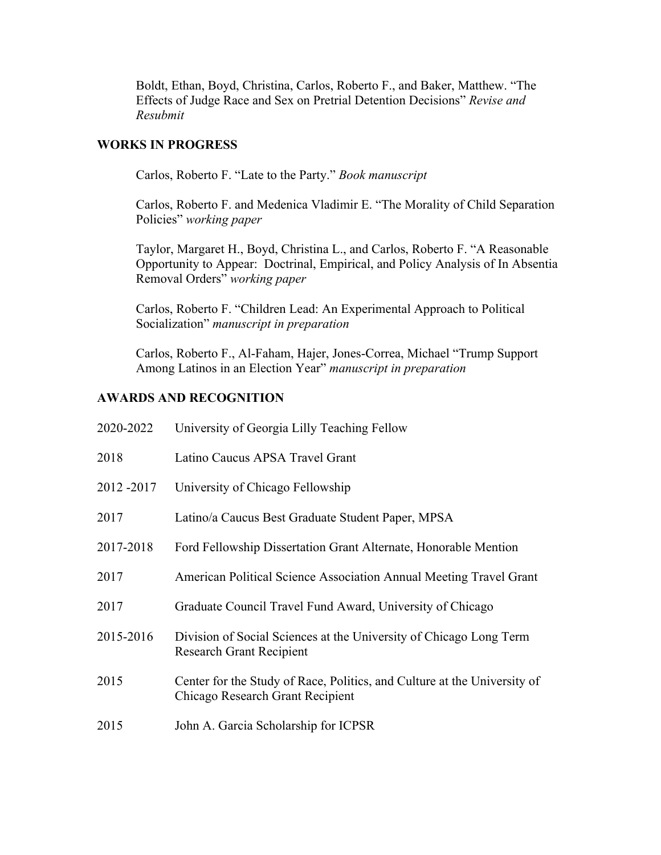Boldt, Ethan, Boyd, Christina, Carlos, Roberto F., and Baker, Matthew. "The Effects of Judge Race and Sex on Pretrial Detention Decisions" *Revise and Resubmit*

## **WORKS IN PROGRESS**

Carlos, Roberto F. "Late to the Party." *Book manuscript*

Carlos, Roberto F. and Medenica Vladimir E. "The Morality of Child Separation Policies" *working paper*

Taylor, Margaret H., Boyd, Christina L., and Carlos, Roberto F. "A Reasonable Opportunity to Appear: Doctrinal, Empirical, and Policy Analysis of In Absentia Removal Orders" *working paper*

Carlos, Roberto F. "Children Lead: An Experimental Approach to Political Socialization" *manuscript in preparation*

Carlos, Roberto F., Al-Faham, Hajer, Jones-Correa, Michael "Trump Support Among Latinos in an Election Year" *manuscript in preparation*

## **AWARDS AND RECOGNITION**

| 2020-2022   | University of Georgia Lilly Teaching Fellow                                                                  |
|-------------|--------------------------------------------------------------------------------------------------------------|
| 2018        | Latino Caucus APSA Travel Grant                                                                              |
| 2012 - 2017 | University of Chicago Fellowship                                                                             |
| 2017        | Latino/a Caucus Best Graduate Student Paper, MPSA                                                            |
| 2017-2018   | Ford Fellowship Dissertation Grant Alternate, Honorable Mention                                              |
| 2017        | American Political Science Association Annual Meeting Travel Grant                                           |
| 2017        | Graduate Council Travel Fund Award, University of Chicago                                                    |
| 2015-2016   | Division of Social Sciences at the University of Chicago Long Term<br><b>Research Grant Recipient</b>        |
| 2015        | Center for the Study of Race, Politics, and Culture at the University of<br>Chicago Research Grant Recipient |
| 2015        | John A. Garcia Scholarship for ICPSR                                                                         |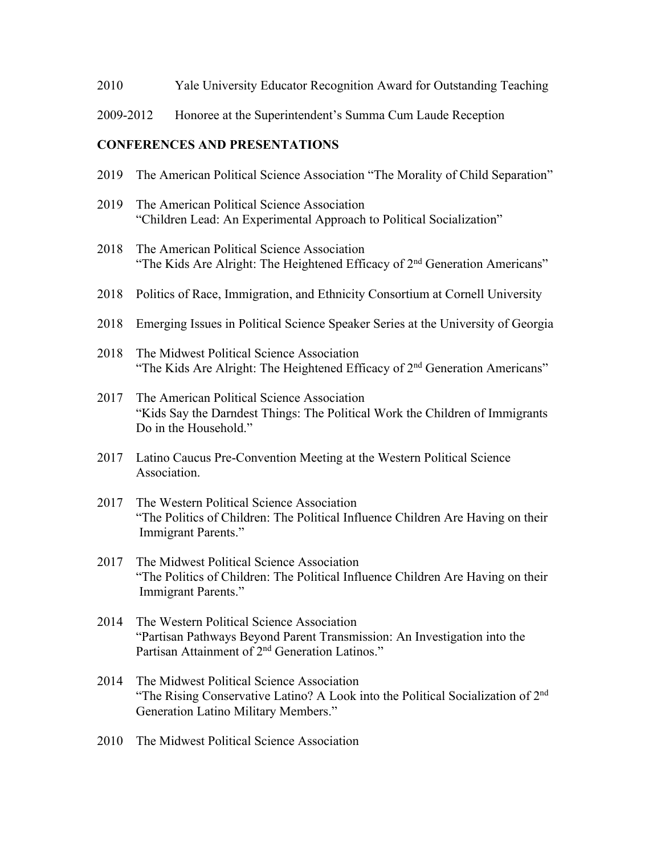- 2010 Yale University Educator Recognition Award for Outstanding Teaching
- 2009-2012 Honoree at the Superintendent's Summa Cum Laude Reception

#### **CONFERENCES AND PRESENTATIONS**

- 2019 The American Political Science Association "The Morality of Child Separation"
- 2019 The American Political Science Association "Children Lead: An Experimental Approach to Political Socialization"
- 2018 The American Political Science Association "The Kids Are Alright: The Heightened Efficacy of  $2<sup>nd</sup>$  Generation Americans"
- 2018 Politics of Race, Immigration, and Ethnicity Consortium at Cornell University
- 2018 Emerging Issues in Political Science Speaker Series at the University of Georgia
- 2018 The Midwest Political Science Association "The Kids Are Alright: The Heightened Efficacy of  $2<sup>nd</sup>$  Generation Americans"
- 2017 The American Political Science Association "Kids Say the Darndest Things: The Political Work the Children of Immigrants Do in the Household."
- 2017 Latino Caucus Pre-Convention Meeting at the Western Political Science Association.
- 2017 The Western Political Science Association "The Politics of Children: The Political Influence Children Are Having on their Immigrant Parents."
- 2017 The Midwest Political Science Association "The Politics of Children: The Political Influence Children Are Having on their Immigrant Parents."
- 2014 The Western Political Science Association "Partisan Pathways Beyond Parent Transmission: An Investigation into the Partisan Attainment of 2<sup>nd</sup> Generation Latinos."
- 2014 The Midwest Political Science Association "The Rising Conservative Latino? A Look into the Political Socialization of 2nd Generation Latino Military Members."
- 2010 The Midwest Political Science Association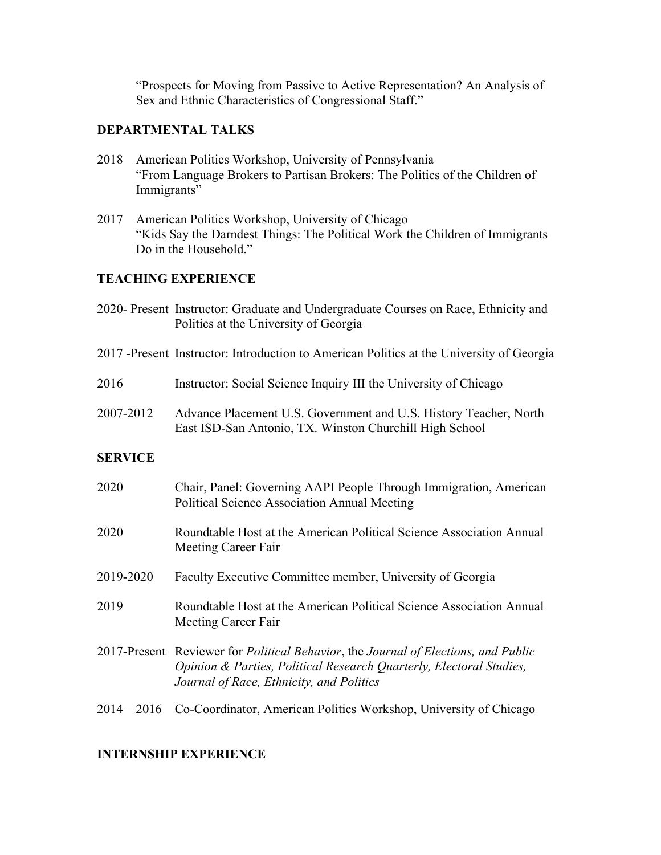"Prospects for Moving from Passive to Active Representation? An Analysis of Sex and Ethnic Characteristics of Congressional Staff."

## **DEPARTMENTAL TALKS**

- 2018 American Politics Workshop, University of Pennsylvania "From Language Brokers to Partisan Brokers: The Politics of the Children of Immigrants"
- 2017 American Politics Workshop, University of Chicago "Kids Say the Darndest Things: The Political Work the Children of Immigrants Do in the Household."

## **TEACHING EXPERIENCE**

|                | 2020- Present Instructor: Graduate and Undergraduate Courses on Race, Ethnicity and<br>Politics at the University of Georgia                                                                          |
|----------------|-------------------------------------------------------------------------------------------------------------------------------------------------------------------------------------------------------|
|                | 2017 -Present Instructor: Introduction to American Politics at the University of Georgia                                                                                                              |
| 2016           | Instructor: Social Science Inquiry III the University of Chicago                                                                                                                                      |
| 2007-2012      | Advance Placement U.S. Government and U.S. History Teacher, North<br>East ISD-San Antonio, TX. Winston Churchill High School                                                                          |
| <b>SERVICE</b> |                                                                                                                                                                                                       |
| 2020           | Chair, Panel: Governing AAPI People Through Immigration, American<br>Political Science Association Annual Meeting                                                                                     |
| 2020           | Roundtable Host at the American Political Science Association Annual<br>Meeting Career Fair                                                                                                           |
| 2019-2020      | Faculty Executive Committee member, University of Georgia                                                                                                                                             |
| 2019           | Roundtable Host at the American Political Science Association Annual<br>Meeting Career Fair                                                                                                           |
|                | 2017-Present Reviewer for Political Behavior, the Journal of Elections, and Public<br>Opinion & Parties, Political Research Quarterly, Electoral Studies,<br>Journal of Race, Ethnicity, and Politics |
|                | 2014 – 2016 Co-Coordinator, American Politics Workshop, University of Chicago                                                                                                                         |

### **INTERNSHIP EXPERIENCE**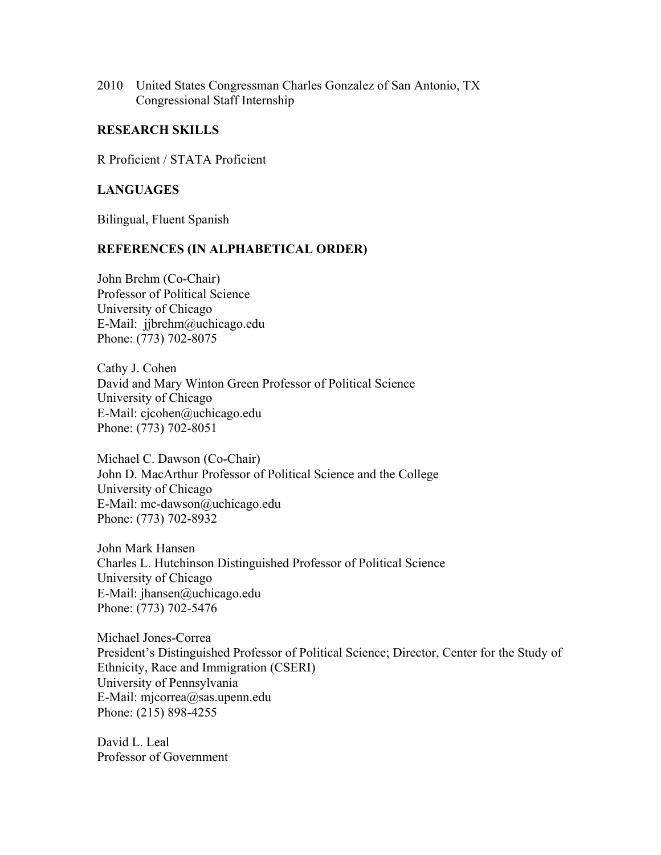2010 United States Congressman Charles Gonzalez of San Antonio, TX Congressional Staff Internship

#### **RESEARCH SKILLS**

R Proficient / STATA Proficient

#### **LANGUAGES**

Bilingual, Fluent Spanish

#### **REFERENCES (IN ALPHABETICAL ORDER)**

John Brehm (Co-Chair) Professor of Political Science University of Chicago E-Mail: jjbrehm@uchicago.edu Phone: (773) 702-8075

Cathy J. Cohen David and Mary Winton Green Professor of Political Science University of Chicago E-Mail: cjcohen@uchicago.edu Phone: (773) 702-8051

Michael C. Dawson (Co-Chair) John D. MacArthur Professor of Political Science and the College University of Chicago E-Mail: mc-dawson@uchicago.edu Phone: (773) 702-8932

John Mark Hansen Charles L. Hutchinson Distinguished Professor of Political Science University of Chicago E-Mail: jhansen@uchicago.edu Phone: (773) 702-5476

Michael Jones-Correa President's Distinguished Professor of Political Science; Director, Center for the Study of Ethnicity, Race and Immigration (CSERI) University of Pennsylvania E-Mail: mjcorrea@sas.upenn.edu Phone: (215) 898-4255

David L. Leal Professor of Government